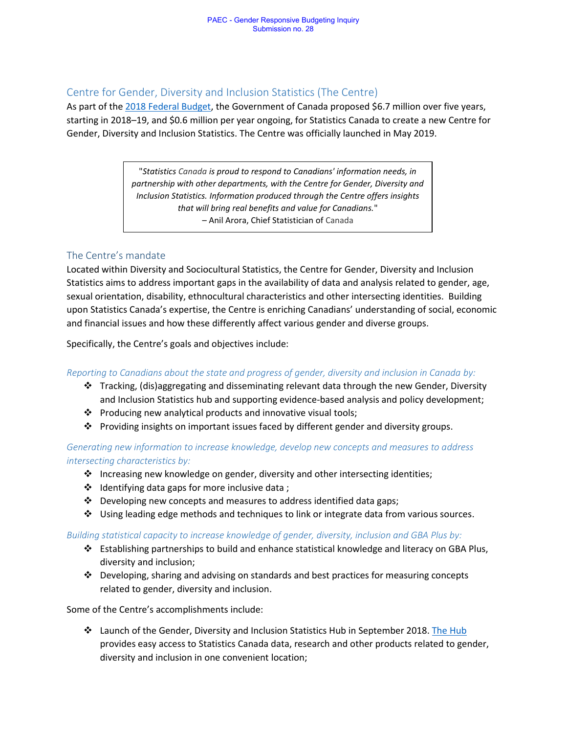#### Centre for Gender, Diversity and Inclusion Statistics (The Centre)

As part of the [2018 Federal Budget,](https://www.budget.gc.ca/2018/docs/plan/chap-01-en.html) the Government of Canada proposed \$6.7 million over five years, starting in 2018–19, and \$0.6 million per year ongoing, for Statistics Canada to create a new Centre for Gender, Diversity and Inclusion Statistics. The Centre was officially launched in May 2019.

> "*Statistics Canada is proud to respond to Canadians' information needs, in partnership with other departments, with the Centre for Gender, Diversity and Inclusion Statistics. Information produced through the Centre offers insights that will bring real benefits and value for Canadians.*" – Anil Arora, Chief Statistician of Canada

#### The Centre's mandate

Located within Diversity and Sociocultural Statistics, the Centre for Gender, Diversity and Inclusion Statistics aims to address important gaps in the availability of data and analysis related to gender, age, sexual orientation, disability, ethnocultural characteristics and other intersecting identities. Building upon Statistics Canada's expertise, the Centre is enriching Canadians' understanding of social, economic and financial issues and how these differently affect various gender and diverse groups.

Specifically, the Centre's goals and objectives include:

#### *Reporting to Canadians about the state and progress of gender, diversity and inclusion in Canada by:*

- ❖ Tracking, (dis)aggregating and disseminating relevant data through the new Gender, Diversity and Inclusion Statistics hub and supporting evidence-based analysis and policy development;
- ❖ Producing new analytical products and innovative visual tools;
- ❖ Providing insights on important issues faced by different gender and diversity groups.

*Generating new information to increase knowledge, develop new concepts and measures to address intersecting characteristics by:*

- ❖ Increasing new knowledge on gender, diversity and other intersecting identities;
- ❖ Identifying data gaps for more inclusive data ;
- ❖ Developing new concepts and measures to address identified data gaps;
- ❖ Using leading edge methods and techniques to link or integrate data from various sources.

#### *Building statistical capacity to increase knowledge of gender, diversity, inclusion and GBA Plus by:*

- ❖ Establishing partnerships to build and enhance statistical knowledge and literacy on GBA Plus, diversity and inclusion;
- ❖ Developing, sharing and advising on standards and best practices for measuring concepts related to gender, diversity and inclusion.

Some of the Centre's accomplishments include:

❖ Launch of the Gender, Diversity and Inclusion Statistics Hub in September 2018[. The Hub](https://www.statcan.gc.ca/gender-diversity-inclusion) provides easy access to Statistics Canada data, research and other products related to gender, diversity and inclusion in one convenient location;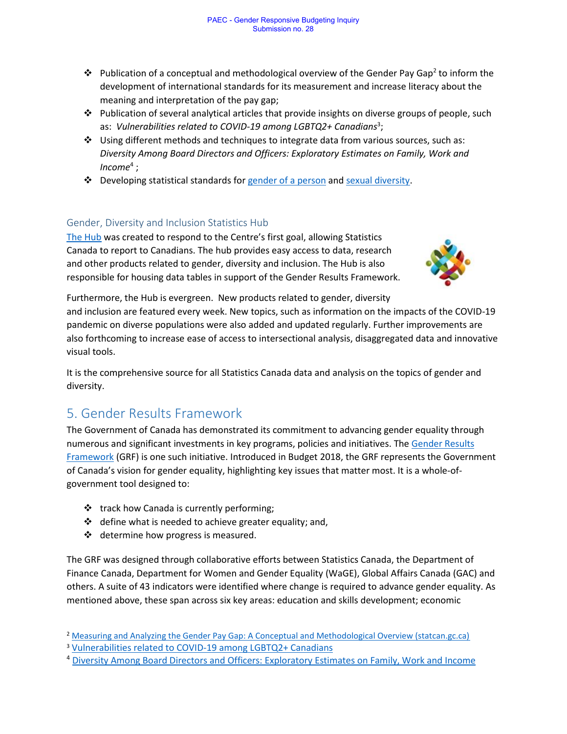- $\clubsuit$  Publication of a conceptual and methodological overview of the Gender Pay Gap<sup>2</sup> to inform the development of international standards for its measurement and increase literacy about the meaning and interpretation of the pay gap;
- ❖ Publication of several analytical articles that provide insights on diverse groups of people, such as: Vulnerabilities related to COVID-19 among LGBTQ2+ Canadians<sup>3</sup>;
- ❖ Using different methods and techniques to integrate data from various sources, such as: *Diversity Among Board Directors and Officers: Exploratory Estimates on Family, Work and Income*<sup>4</sup> ;
- ❖ Developing statistical standards fo[r gender of a person](https://www23.statcan.gc.ca/imdb/p3Var.pl?Function=DEC&Id=410445) and [sexual diversity.](https://www.statcan.gc.ca/en/concepts/consult-variables/gender)

### Gender, Diversity and Inclusion Statistics Hub

[The Hub](https://www.statcan.gc.ca/gender-diversity-inclusion) was created to respond to the Centre's first goal, allowing Statistics Canada to report to Canadians. The hub provides easy access to data, research and other products related to gender, diversity and inclusion. The Hub is also responsible for housing data tables in support of the Gender Results Framework.



Furthermore, the Hub is evergreen. New products related to gender, diversity and inclusion are featured every week. New topics, such as information on the impacts of the COVID-19 pandemic on diverse populations were also added and updated regularly. Further improvements are also forthcoming to increase ease of access to intersectional analysis, disaggregated data and innovative visual tools.

It is the comprehensive source for all Statistics Canada data and analysis on the topics of gender and diversity.

# 5. Gender Results Framework

The Government of Canada has demonstrated its commitment to advancing gender equality through numerous and significant investments in key programs, policies and initiatives. Th[e Gender Results](https://women-gender-equality.canada.ca/en/gender-results-framework.html)  [Framework](https://women-gender-equality.canada.ca/en/gender-results-framework.html) (GRF) is one such initiative. Introduced in Budget 2018, the GRF represents the Government of Canada's vision for gender equality, highlighting key issues that matter most. It is a whole-ofgovernment tool designed to:

- ❖ track how Canada is currently performing;
- ❖ define what is needed to achieve greater equality; and,
- ❖ determine how progress is measured.

The GRF was designed through collaborative efforts between Statistics Canada, the Department of Finance Canada, Department for Women and Gender Equality (WaGE), Global Affairs Canada (GAC) and others. A suite of 43 indicators were identified where change is required to advance gender equality. As mentioned above, these span across six key areas: education and skills development; economic

<sup>2</sup> [Measuring and Analyzing the Gender Pay Gap: A Conceptual and Methodological Overview \(statcan.gc.ca\)](https://www150.statcan.gc.ca/n1/pub/45-20-0002/452000022019001-eng.htm)

<sup>&</sup>lt;sup>3</sup> [Vulnerabilities related to COVID-19 among LGBTQ2+ Canadians](https://www150.statcan.gc.ca/n1/pub/45-28-0001/2020001/article/00075-eng.htm)

<sup>4</sup> [Diversity Among Board Directors and Officers: Exploratory Estimates on Family, Work and Income](https://www150.statcan.gc.ca/n1/pub/11f0019m/11f0019m2021005-eng.htm)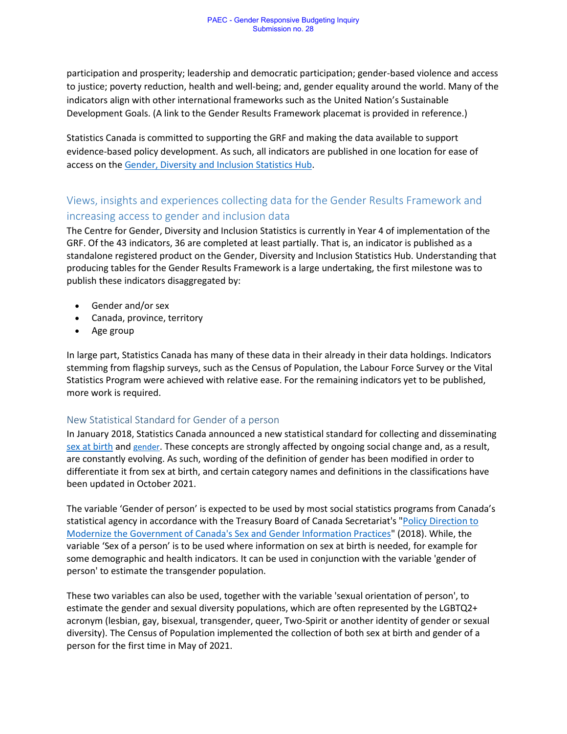participation and prosperity; leadership and democratic participation; gender-based violence and access to justice; poverty reduction, health and well-being; and, gender equality around the world. Many of the indicators align with other international frameworks such as the United Nation's Sustainable Development Goals. (A link to the Gender Results Framework placemat is provided in reference.)

Statistics Canada is committed to supporting the GRF and making the data available to support evidence-based policy development. As such, all indicators are published in one location for ease of access on th[e Gender, Diversity and Inclusion Statistics Hub.](http://www.statcan.gc.ca/gender-diversity-inclusion/)

## Views, insights and experiences collecting data for the Gender Results Framework and increasing access to gender and inclusion data

The Centre for Gender, Diversity and Inclusion Statistics is currently in Year 4 of implementation of the GRF. Of the 43 indicators, 36 are completed at least partially. That is, an indicator is published as a standalone registered product on the Gender, Diversity and Inclusion Statistics Hub. Understanding that producing tables for the Gender Results Framework is a large undertaking, the first milestone was to publish these indicators disaggregated by:

- Gender and/or sex
- Canada, province, territory
- Age group

In large part, Statistics Canada has many of these data in their already in their data holdings. Indicators stemming from flagship surveys, such as the Census of Population, the Labour Force Survey or the Vital Statistics Program were achieved with relative ease. For the remaining indicators yet to be published, more work is required.

#### New Statistical Standard for Gender of a person

In January 2018, Statistics Canada announced a new statistical standard for collecting and disseminating [sex at birth](https://www23.statcan.gc.ca/imdb/p3Var.pl?Function=DEC&Id=24101) and [gender](https://www23.statcan.gc.ca/imdb/p3Var.pl?Function=DEC&Id=410445). These concepts are strongly affected by ongoing social change and, as a result, are constantly evolving. As such, wording of the definition of gender has been modified in order to differentiate it from sex at birth, and certain category names and definitions in the classifications have been updated in October 2021.

The variable 'Gender of person' is expected to be used by most social statistics programs from Canada's statistical agency in accordance with the Treasury Board of Canada Secretariat's ["Policy Direction to](https://www.canada.ca/en/treasury-board-secretariat/corporate/reports/summary-modernizing-info-sex-gender.html)  [Modernize the Government of Canada's Sex and Gender Information Practices"](https://www.canada.ca/en/treasury-board-secretariat/corporate/reports/summary-modernizing-info-sex-gender.html) (2018). While, the variable 'Sex of a person' is to be used where information on sex at birth is needed, for example for some demographic and health indicators. It can be used in conjunction with the variable 'gender of person' to estimate the transgender population.

These two variables can also be used, together with the variable 'sexual orientation of person', to estimate the gender and sexual diversity populations, which are often represented by the LGBTQ2+ acronym (lesbian, gay, bisexual, transgender, queer, Two-Spirit or another identity of gender or sexual diversity). The Census of Population implemented the collection of both sex at birth and gender of a person for the first time in May of 2021.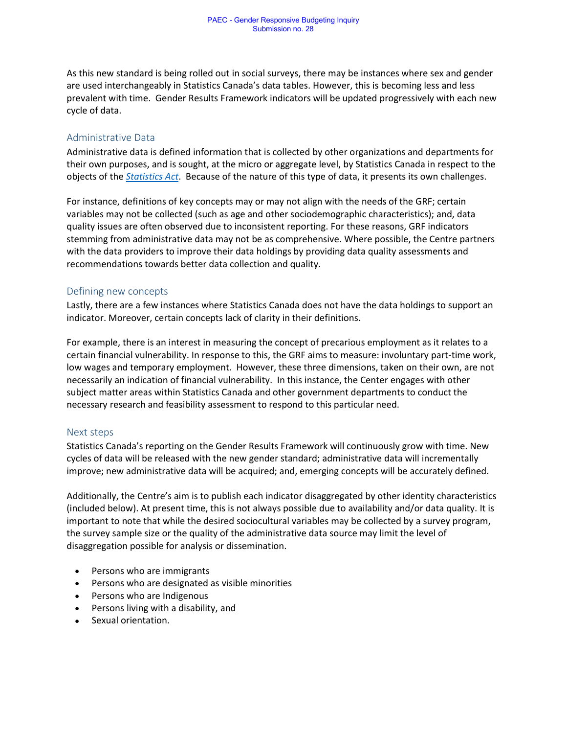As this new standard is being rolled out in social surveys, there may be instances where sex and gender are used interchangeably in Statistics Canada's data tables. However, this is becoming less and less prevalent with time. Gender Results Framework indicators will be updated progressively with each new cycle of data.

#### Administrative Data

Administrative data is defined information that is collected by other organizations and departments for their own purposes, and is sought, at the micro or aggregate level, by Statistics Canada in respect to the objects of the *[Statistics Act](https://laws-lois.justice.gc.ca/eng/acts/s-19/fulltext.html)*. Because of the nature of this type of data, it presents its own challenges.

For instance, definitions of key concepts may or may not align with the needs of the GRF; certain variables may not be collected (such as age and other sociodemographic characteristics); and, data quality issues are often observed due to inconsistent reporting. For these reasons, GRF indicators stemming from administrative data may not be as comprehensive. Where possible, the Centre partners with the data providers to improve their data holdings by providing data quality assessments and recommendations towards better data collection and quality.

#### Defining new concepts

Lastly, there are a few instances where Statistics Canada does not have the data holdings to support an indicator. Moreover, certain concepts lack of clarity in their definitions.

For example, there is an interest in measuring the concept of precarious employment as it relates to a certain financial vulnerability. In response to this, the GRF aims to measure: involuntary part-time work, low wages and temporary employment. However, these three dimensions, taken on their own, are not necessarily an indication of financial vulnerability. In this instance, the Center engages with other subject matter areas within Statistics Canada and other government departments to conduct the necessary research and feasibility assessment to respond to this particular need.

#### Next steps

Statistics Canada's reporting on the Gender Results Framework will continuously grow with time. New cycles of data will be released with the new gender standard; administrative data will incrementally improve; new administrative data will be acquired; and, emerging concepts will be accurately defined.

Additionally, the Centre's aim is to publish each indicator disaggregated by other identity characteristics (included below). At present time, this is not always possible due to availability and/or data quality. It is important to note that while the desired sociocultural variables may be collected by a survey program, the survey sample size or the quality of the administrative data source may limit the level of disaggregation possible for analysis or dissemination.

- Persons who are immigrants
- Persons who are designated as visible minorities
- Persons who are Indigenous
- Persons living with a disability, and
- Sexual orientation.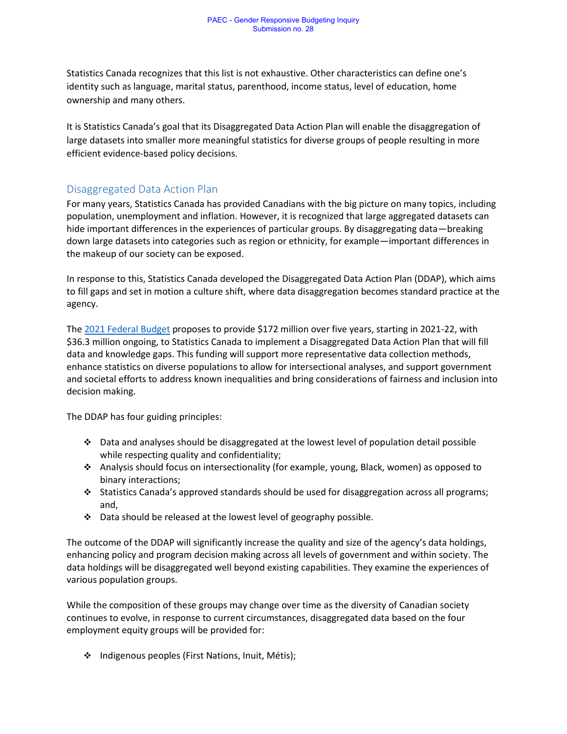Statistics Canada recognizes that this list is not exhaustive. Other characteristics can define one's identity such as language, marital status, parenthood, income status, level of education, home ownership and many others.

It is Statistics Canada's goal that its Disaggregated Data Action Plan will enable the disaggregation of large datasets into smaller more meaningful statistics for diverse groups of people resulting in more efficient evidence-based policy decisions.

### Disaggregated Data Action Plan

For many years, Statistics Canada has provided Canadians with the big picture on many topics, including population, unemployment and inflation. However, it is recognized that large aggregated datasets can hide important differences in the experiences of particular groups. By disaggregating data—breaking down large datasets into categories such as region or ethnicity, for example—important differences in the makeup of our society can be exposed.

In response to this, Statistics Canada developed the Disaggregated Data Action Plan (DDAP), which aims to fill gaps and set in motion a culture shift, where data disaggregation becomes standard practice at the agency.

The [2021 Federal Budget](https://www.budget.gc.ca/2021/home-accueil-en.html) proposes to provide \$172 million over five years, starting in 2021-22, with \$36.3 million ongoing, to Statistics Canada to implement a Disaggregated Data Action Plan that will fill data and knowledge gaps. This funding will support more representative data collection methods, enhance statistics on diverse populations to allow for intersectional analyses, and support government and societal efforts to address known inequalities and bring considerations of fairness and inclusion into decision making.

The DDAP has four guiding principles:

- ❖ Data and analyses should be disaggregated at the lowest level of population detail possible while respecting quality and confidentiality;
- ❖ Analysis should focus on intersectionality (for example, young, Black, women) as opposed to binary interactions;
- ❖ Statistics Canada's approved standards should be used for disaggregation across all programs; and,
- ❖ Data should be released at the lowest level of geography possible.

The outcome of the DDAP will significantly increase the quality and size of the agency's data holdings, enhancing policy and program decision making across all levels of government and within society. The data holdings will be disaggregated well beyond existing capabilities. They examine the experiences of various population groups.

While the composition of these groups may change over time as the diversity of Canadian society continues to evolve, in response to current circumstances, disaggregated data based on the four employment equity groups will be provided for:

❖ Indigenous peoples (First Nations, Inuit, Métis);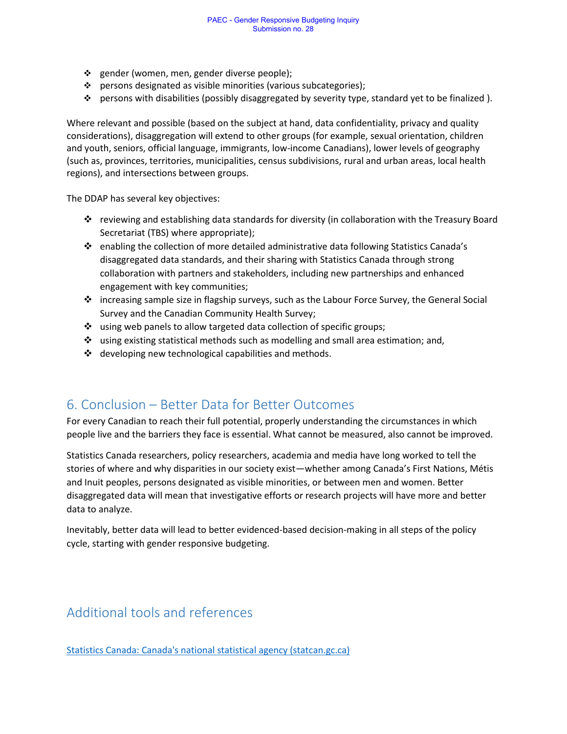- ❖ gender (women, men, gender diverse people);
- ❖ persons designated as visible minorities (various subcategories);
- ❖ persons with disabilities (possibly disaggregated by severity type, standard yet to be finalized ).

Where relevant and possible (based on the subject at hand, data confidentiality, privacy and quality considerations), disaggregation will extend to other groups (for example, sexual orientation, children and youth, seniors, official language, immigrants, low-income Canadians), lower levels of geography (such as, provinces, territories, municipalities, census subdivisions, rural and urban areas, local health regions), and intersections between groups.

The DDAP has several key objectives:

- ❖ reviewing and establishing data standards for diversity (in collaboration with the Treasury Board Secretariat (TBS) where appropriate);
- ❖ enabling the collection of more detailed administrative data following Statistics Canada's disaggregated data standards, and their sharing with Statistics Canada through strong collaboration with partners and stakeholders, including new partnerships and enhanced engagement with key communities;
- ❖ increasing sample size in flagship surveys, such as the Labour Force Survey, the General Social Survey and the Canadian Community Health Survey;
- ❖ using web panels to allow targeted data collection of specific groups;
- $\div$  using existing statistical methods such as modelling and small area estimation; and,
- ❖ developing new technological capabilities and methods.

## 6. Conclusion – Better Data for Better Outcomes

For every Canadian to reach their full potential, properly understanding the circumstances in which people live and the barriers they face is essential. What cannot be measured, also cannot be improved.

Statistics Canada researchers, policy researchers, academia and media have long worked to tell the stories of where and why disparities in our society exist—whether among Canada's First Nations, Métis and Inuit peoples, persons designated as visible minorities, or between men and women. Better disaggregated data will mean that investigative efforts or research projects will have more and better data to analyze.

Inevitably, better data will lead to better evidenced-based decision-making in all steps of the policy cycle, starting with gender responsive budgeting.

## Additional tools and references

[Statistics Canada: Canada's national statistical agency \(statcan.gc.ca\)](https://www.statcan.gc.ca/en/start)